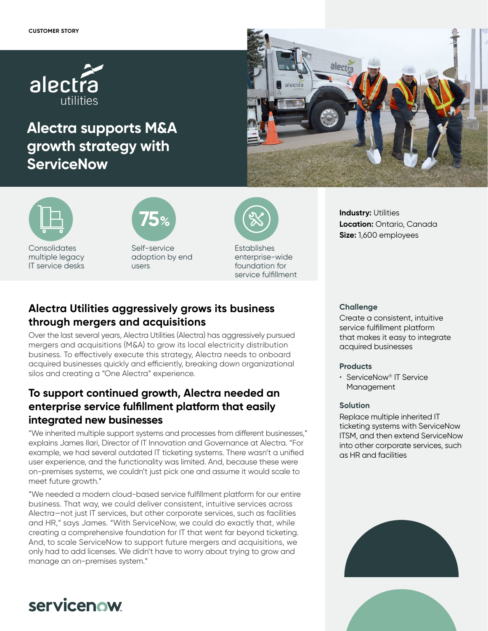

# **Alectra supports M&A growth strategy with ServiceNow**





**Consolidates** multiple legacy IT service desks



Self-service adoption by end users



Establishes enterprise-wide foundation for service fulfillment

### **Industry: Utilities Location:** Ontario, Canada **Size:** 1,600 employees

# **Alectra Utilities aggressively grows its business through mergers and acquisitions**

Over the last several years, Alectra Utilities (Alectra) has aggressively pursued mergers and acquisitions (M&A) to grow its local electricity distribution business. To effectively execute this strategy, Alectra needs to onboard acquired businesses quickly and efficiently, breaking down organizational silos and creating a "One Alectra" experience.

# **To support continued growth, Alectra needed an enterprise service fulfillment platform that easily integrated new businesses**

"We inherited multiple support systems and processes from different businesses," explains James Ilari, Director of IT Innovation and Governance at Alectra. "For example, we had several outdated IT ticketing systems. There wasn't a unified user experience, and the functionality was limited. And, because these were on-premises systems, we couldn't just pick one and assume it would scale to meet future growth."

"We needed a modern cloud-based service fulfillment platform for our entire business. That way, we could deliver consistent, intuitive services across Alectra—not just IT services, but other corporate services, such as facilities and HR," says James. "With ServiceNow, we could do exactly that, while creating a comprehensive foundation for IT that went far beyond ticketing. And, to scale ServiceNow to support future mergers and acquisitions, we only had to add licenses. We didn't have to worry about trying to grow and manage an on-premises system."

### **Challenge**

Create a consistent, intuitive service fulfillment platform that makes it easy to integrate acquired businesses

### **Products**

• ServiceNow® IT Service Management

### **Solution**

Replace multiple inherited IT ticketing systems with ServiceNow ITSM, and then extend ServiceNow into other corporate services, such as HR and facilities





# servicenow